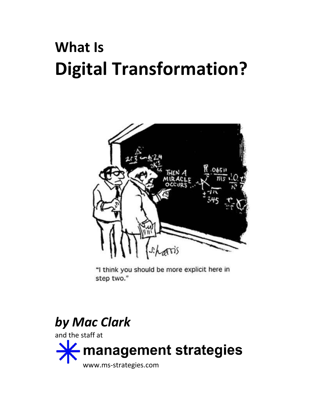# **What Is Digital Transformation?**



"I think you should be more explicit here in step two."

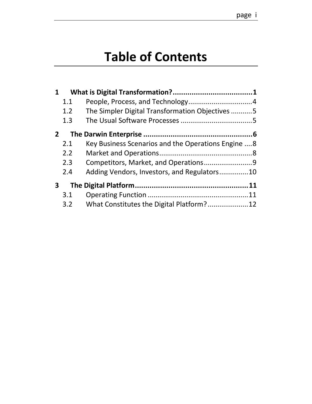# **Table of Contents**

| 1.1 |                                                     |  |
|-----|-----------------------------------------------------|--|
| 1.2 | The Simpler Digital Transformation Objectives5      |  |
| 1.3 |                                                     |  |
|     |                                                     |  |
| 2.1 | Key Business Scenarios and the Operations Engine  8 |  |
| 2.2 |                                                     |  |
| 2.3 |                                                     |  |
| 2.4 | Adding Vendors, Investors, and Regulators10         |  |
|     |                                                     |  |
| 3.1 |                                                     |  |
| 3.2 |                                                     |  |
|     |                                                     |  |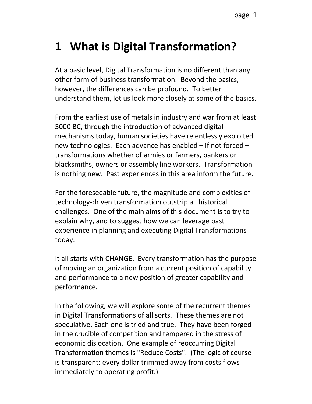# <span id="page-2-0"></span>**1 What is Digital Transformation?**

At a basic level, Digital Transformation is no different than any other form of business transformation. Beyond the basics, however, the differences can be profound. To better understand them, let us look more closely at some of the basics.

From the earliest use of metals in industry and war from at least 5000 BC, through the introduction of advanced digital mechanisms today, human societies have relentlessly exploited new technologies. Each advance has enabled – if not forced – transformations whether of armies or farmers, bankers or blacksmiths, owners or assembly line workers. Transformation is nothing new. Past experiences in this area inform the future.

For the foreseeable future, the magnitude and complexities of technology-driven transformation outstrip all historical challenges. One of the main aims of this document is to try to explain why, and to suggest how we can leverage past experience in planning and executing Digital Transformations today.

It all starts with CHANGE. Every transformation has the purpose of moving an organization from a current position of capability and performance to a new position of greater capability and performance.

In the following, we will explore some of the recurrent themes in Digital Transformations of all sorts. These themes are not speculative. Each one is tried and true. They have been forged in the crucible of competition and tempered in the stress of economic dislocation. One example of reoccurring Digital Transformation themes is "Reduce Costs". (The logic of course is transparent: every dollar trimmed away from costs flows immediately to operating profit.)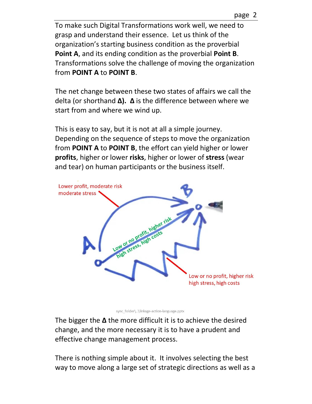page 2

To make such Digital Transformations work well, we need to grasp and understand their essence. Let us think of the organization's starting business condition as the proverbial **Point A**, and its ending condition as the proverbial **Point B**. Transformations solve the challenge of moving the organization from **POINT A** to **POINT B**.

The net change between these two states of affairs we call the delta (or shorthand **∆). ∆** is the difference between where we start from and where we wind up.

This is easy to say, but it is not at all a simple journey. Depending on the sequence of steps to move the organization from **POINT A** to **POINT B**, the effort can yield higher or lower **profits**, higher or lower **risks**, higher or lower of **stress** (wear and tear) on human participants or the business itself.



sync\_folder\..\linkage-action-language.pptx

The bigger the **∆** the more difficult it is to achieve the desired change, and the more necessary it is to have a prudent and effective change management process.

There is nothing simple about it. It involves selecting the best way to move along a large set of strategic directions as well as a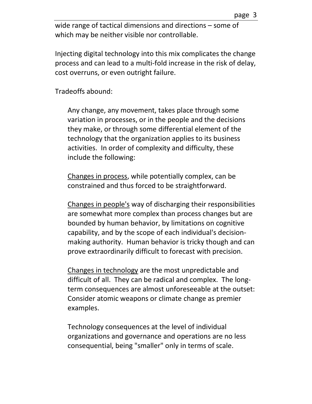wide range of tactical dimensions and directions – some of which may be neither visible nor controllable.

Injecting digital technology into this mix complicates the change process and can lead to a multi-fold increase in the risk of delay, cost overruns, or even outright failure.

Tradeoffs abound:

Any change, any movement, takes place through some variation in processes, or in the people and the decisions they make, or through some differential element of the technology that the organization applies to its business activities. In order of complexity and difficulty, these include the following:

Changes in process, while potentially complex, can be constrained and thus forced to be straightforward.

Changes in people's way of discharging their responsibilities are somewhat more complex than process changes but are bounded by human behavior, by limitations on cognitive capability, and by the scope of each individual's decisionmaking authority. Human behavior is tricky though and can prove extraordinarily difficult to forecast with precision.

Changes in technology are the most unpredictable and difficult of all. They can be radical and complex. The longterm consequences are almost unforeseeable at the outset: Consider atomic weapons or climate change as premier examples.

Technology consequences at the level of individual organizations and governance and operations are no less consequential, being "smaller" only in terms of scale.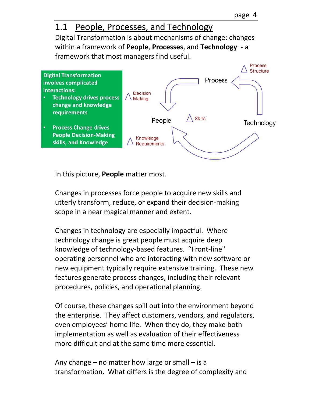#### <span id="page-5-0"></span>1.1 People, Processes, and Technology

Digital Transformation is about mechanisms of change: changes within a framework of **People**, **Processes**, and **Technology** - a framework that most managers find useful.



In this picture, **People** matter most.

Changes in processes force people to acquire new skills and utterly transform, reduce, or expand their decision-making scope in a near magical manner and extent.

Changes in technology are especially impactful. Where technology change is great people must acquire deep knowledge of technology-based features. "Front-line" operating personnel who are interacting with new software or new equipment typically require extensive training. These new features generate process changes, including their relevant procedures, policies, and operational planning.

Of course, these changes spill out into the environment beyond the enterprise. They affect customers, vendors, and regulators, even employees' home life. When they do, they make both implementation as well as evaluation of their effectiveness more difficult and at the same time more essential.

Any change – no matter how large or small – is a transformation. What differs is the degree of complexity and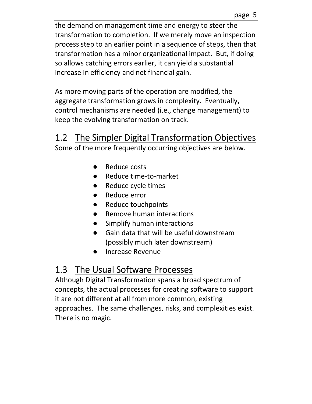the demand on management time and energy to steer the transformation to completion. If we merely move an inspection process step to an earlier point in a sequence of steps, then that transformation has a minor organizational impact. But, if doing so allows catching errors earlier, it can yield a substantial increase in efficiency and net financial gain.

As more moving parts of the operation are modified, the aggregate transformation grows in complexity. Eventually, control mechanisms are needed (i.e., change management) to keep the evolving transformation on track.

## <span id="page-6-0"></span>1.2 The Simpler Digital Transformation Objectives

Some of the more frequently occurring objectives are below.

- Reduce costs
- Reduce time-to-market
- Reduce cycle times
- Reduce error
- Reduce touchpoints
- **Remove human interactions**
- Simplify human interactions
- Gain data that will be useful downstream (possibly much later downstream)
- Increase Revenue

## <span id="page-6-1"></span>1.3 The Usual Software Processes

Although Digital Transformation spans a broad spectrum of concepts, the actual processes for creating software to support it are not different at all from more common, existing approaches. The same challenges, risks, and complexities exist. There is no magic.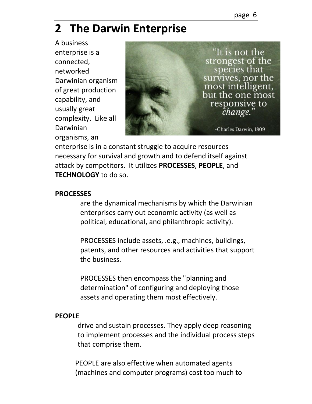# <span id="page-7-0"></span>**2 The Darwin Enterprise**

A business enterprise is a connected, networked Darwinian organism of great production capability, and usually great complexity. Like all Darwinian organisms, an



enterprise is in a constant struggle to acquire resources necessary for survival and growth and to defend itself against attack by competitors. It utilizes **PROCESSES**, **PEOPLE**, and **TECHNOLOGY** to do so.

#### **PROCESSES**

are the dynamical mechanisms by which the Darwinian enterprises carry out economic activity (as well as political, educational, and philanthropic activity).

PROCESSES include assets, .e.g., machines, buildings, patents, and other resources and activities that support the business.

PROCESSES then encompass the "planning and determination" of configuring and deploying those assets and operating them most effectively.

#### **PEOPLE**

drive and sustain processes. They apply deep reasoning to implement processes and the individual process steps that comprise them.

PEOPLE are also effective when automated agents (machines and computer programs) cost too much to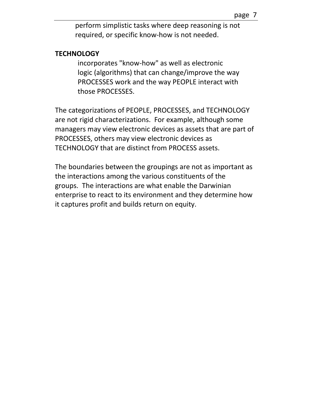perform simplistic tasks where deep reasoning is not required, or specific know-how is not needed.

#### **TECHNOLOGY**

incorporates "know-how" as well as electronic logic (algorithms) that can change/improve the way PROCESSES work and the way PEOPLE interact with those PROCESSES.

The categorizations of PEOPLE, PROCESSES, and TECHNOLOGY are not rigid characterizations. For example, although some managers may view electronic devices as assets that are part of PROCESSES, others may view electronic devices as TECHNOLOGY that are distinct from PROCESS assets.

The boundaries between the groupings are not as important as the interactions among the various constituents of the groups. The interactions are what enable the Darwinian enterprise to react to its environment and they determine how it captures profit and builds return on equity.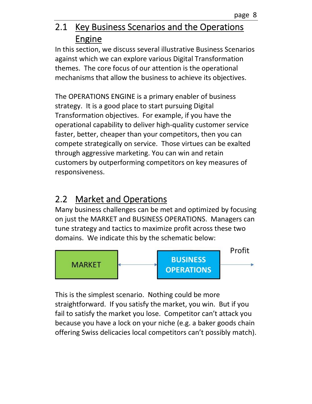#### <span id="page-9-0"></span>2.1 Key Business Scenarios and the Operations Engine

In this section, we discuss several illustrative Business Scenarios against which we can explore various Digital Transformation themes. The core focus of our attention is the operational mechanisms that allow the business to achieve its objectives.

The OPERATIONS ENGINE is a primary enabler of business strategy. It is a good place to start pursuing Digital Transformation objectives. For example, if you have the operational capability to deliver high-quality customer service faster, better, cheaper than your competitors, then you can compete strategically on service. Those virtues can be exalted through aggressive marketing. You can win and retain customers by outperforming competitors on key measures of responsiveness.

## <span id="page-9-1"></span>2.2 Market and Operations

Many business challenges can be met and optimized by focusing on just the MARKET and BUSINESS OPERATIONS. Managers can tune strategy and tactics to maximize profit across these two domains. We indicate this by the schematic below:



This is the simplest scenario. Nothing could be more straightforward. If you satisfy the market, you win. But if you fail to satisfy the market you lose. Competitor can't attack you because you have a lock on your niche (e.g. a baker goods chain offering Swiss delicacies local competitors can't possibly match).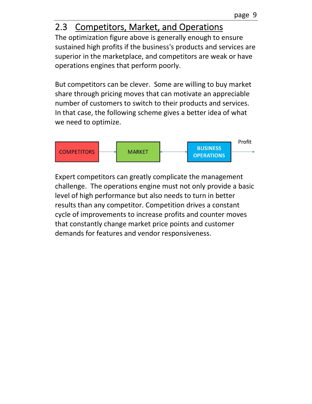### <span id="page-10-0"></span>2.3 Competitors, Market, and Operations

The optimization figure above is generally enough to ensure sustained high profits if the business's products and services are superior in the marketplace, and competitors are weak or have operations engines that perform poorly.

But competitors can be clever. Some are willing to buy market share through pricing moves that can motivate an appreciable number of customers to switch to their products and services. In that case, the following scheme gives a better idea of what we need to optimize.



Expert competitors can greatly complicate the management challenge. The operations engine must not only provide a basic level of high performance but also needs to turn in better results than any competitor. Competition drives a constant cycle of improvements to increase profits and counter moves that constantly change market price points and customer demands for features and vendor responsiveness.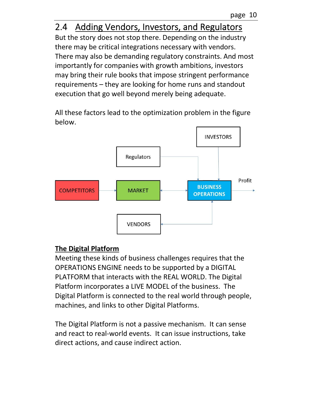### <span id="page-11-0"></span>2.4 Adding Vendors, Investors, and Regulators

But the story does not stop there. Depending on the industry there may be critical integrations necessary with vendors. There may also be demanding regulatory constraints. And most importantly for companies with growth ambitions, investors may bring their rule books that impose stringent performance requirements – they are looking for home runs and standout execution that go well beyond merely being adequate.

All these factors lead to the optimization problem in the figure below.



#### **The Digital Platform**

Meeting these kinds of business challenges requires that the OPERATIONS ENGINE needs to be supported by a DIGITAL PLATFORM that interacts with the REAL WORLD. The Digital Platform incorporates a LIVE MODEL of the business. The Digital Platform is connected to the real world through people, machines, and links to other Digital Platforms.

The Digital Platform is not a passive mechanism. It can sense and react to real-world events. It can issue instructions, take direct actions, and cause indirect action.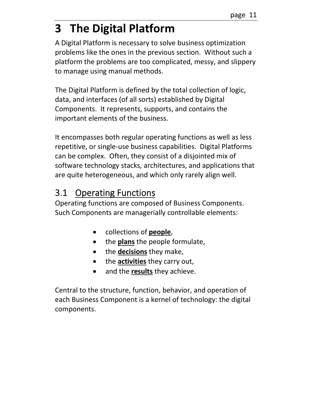# <span id="page-12-0"></span>**3 The Digital Platform**

A Digital Platform is necessary to solve business optimization problems like the ones in the previous section. Without such a platform the problems are too complicated, messy, and slippery to manage using manual methods.

The Digital Platform is defined by the total collection of logic, data, and interfaces (of all sorts) established by Digital Components. It represents, supports, and contains the important elements of the business.

It encompasses both regular operating functions as well as less repetitive, or single-use business capabilities. Digital Platforms can be complex. Often, they consist of a disjointed mix of software technology stacks, architectures, and applications that are quite heterogeneous, and which only rarely align well.

#### <span id="page-12-1"></span>3.1 Operating Functions

Operating functions are composed of Business Components. Such Components are managerially controllable elements:

- collections of **people**,
- the **plans** the people formulate,
- the **decisions** they make,
- the **activities** they carry out,
- and the **results** they achieve.

Central to the structure, function, behavior, and operation of each Business Component is a kernel of technology: the digital components.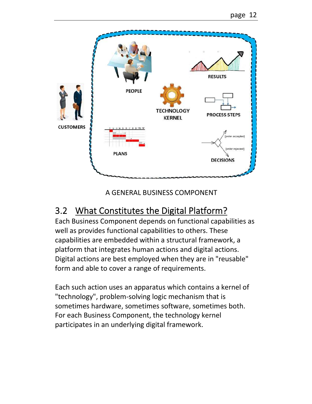

A GENERAL BUSINESS COMPONENT

## <span id="page-13-0"></span>3.2 What Constitutes the Digital Platform?

Each Business Component depends on functional capabilities as well as provides functional capabilities to others. These capabilities are embedded within a structural framework, a platform that integrates human actions and digital actions. Digital actions are best employed when they are in "reusable" form and able to cover a range of requirements.

Each such action uses an apparatus which contains a kernel of "technology", problem-solving logic mechanism that is sometimes hardware, sometimes software, sometimes both. For each Business Component, the technology kernel participates in an underlying digital framework.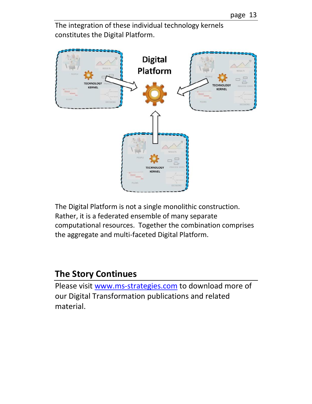

The integration of these individual technology kernels constitutes the Digital Platform.

The Digital Platform is not a single monolithic construction. Rather, it is a federated ensemble of many separate computational resources. Together the combination comprises the aggregate and multi-faceted Digital Platform.

#### **The Story Continues**

Please visit [www.ms-strategies.com](http://www.ms-strategies.com/) to download more of our Digital Transformation publications and related material.